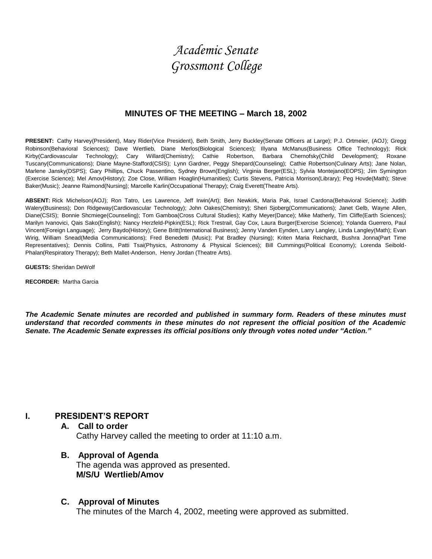# *Academic Senate Grossmont College*

#### **MINUTES OF THE MEETING – March 18, 2002**

**PRESENT:** Cathy Harvey(President), Mary Rider(Vice President), Beth Smith, Jerry Buckley(Senate Officers at Large); P.J. Ortmeier, (AOJ); Gregg Robinson(Behavioral Sciences); Dave Wertlieb, Diane Merlos(Biological Sciences); Illyana McManus(Business Office Technology); Rick Kirby(Cardiovascular Technology); Cary Willard(Chemistry); Cathie Robertson, Barbara Chernofsky(Child Development); Roxane Tuscany(Communications); Diane Mayne-Stafford(CSIS); Lynn Gardner, Peggy Shepard(Counseling); Cathie Robertson(Culinary Arts); Jane Nolan, Marlene Jansky(DSPS); Gary Phillips, Chuck Passentino, Sydney Brown(English); Virginia Berger(ESL); Sylvia Montejano(EOPS); Jim Symington (Exercise Science); Mel Amov(History); Zoe Close, William Hoaglin(Humanities); Curtis Stevens, Patricia Morrison(Library); Peg Hovde(Math); Steve Baker(Music); Jeanne Raimond(Nursing); Marcelle Karlin(Occupational Therapy); Craig Everett(Theatre Arts).

**ABSENT:** Rick Michelson(AOJ); Ron Tatro, Les Lawrence, Jeff Irwin(Art); Ben Newkirk, Maria Pak, Israel Cardona(Behavioral Science); Judith Walery(Business); Don Ridgeway(Cardiovascular Technology); John Oakes(Chemistry); Sheri Sjoberg(Communications); Janet Gelb, Wayne Allen, Diane(CSIS); Bonnie Shcmiege(Counseling); Tom Gamboa(Cross Cultural Studies); Kathy Meyer(Dance); Mike Matherly, Tim Cliffe(Earth Sciences); Marilyn Ivanovici, Qais Sako(English); Nancy Herzfeld-Pipkin(ESL); Rick Trestrail, Gay Cox, Laura Burger(Exercise Science); Yolanda Guerrero, Paul Vincent(Foreign Language); Jerry Baydo(History); Gene Britt(International Business); Jenny Vanden Eynden, Larry Langley, Linda Langley(Math); Evan Wirig, William Snead(Media Communications); Fred Benedetti (Music); Pat Bradley (Nursing); Kriten Maria Reichardt, Bushra Jonna(Part Time Representatives); Dennis Collins, Patti Tsai(Physics, Astronomy & Physical Sciences); Bill Cummings(Political Economy); Lorenda Seibold-Phalan(Respiratory Therapy); Beth Mallet-Anderson, Henry Jordan (Theatre Arts).

**GUESTS:** Sheridan DeWolf

**RECORDER:** Martha Garcia

*The Academic Senate minutes are recorded and published in summary form. Readers of these minutes must understand that recorded comments in these minutes do not represent the official position of the Academic Senate. The Academic Senate expresses its official positions only through votes noted under "Action."*

# **I. PRESIDENT'S REPORT**

- **A. Call to order** Cathy Harvey called the meeting to order at 11:10 a.m.
- **B. Approval of Agenda** The agenda was approved as presented. **M/S/U Wertlieb/Amov**

#### **C. Approval of Minutes**

The minutes of the March 4, 2002, meeting were approved as submitted.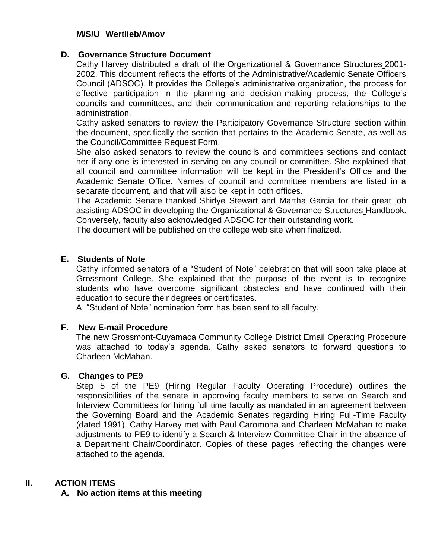# **M/S/U Wertlieb/Amov**

## **D. Governance Structure Document**

Cathy Harvey distributed a draft of the Organizational & Governance Structures 2001- 2002. This document reflects the efforts of the Administrative/Academic Senate Officers Council (ADSOC). It provides the College's administrative organization, the process for effective participation in the planning and decision-making process, the College's councils and committees, and their communication and reporting relationships to the administration.

Cathy asked senators to review the Participatory Governance Structure section within the document, specifically the section that pertains to the Academic Senate, as well as the Council/Committee Request Form.

She also asked senators to review the councils and committees sections and contact her if any one is interested in serving on any council or committee. She explained that all council and committee information will be kept in the President's Office and the Academic Senate Office. Names of council and committee members are listed in a separate document, and that will also be kept in both offices.

The Academic Senate thanked Shirlye Stewart and Martha Garcia for their great job assisting ADSOC in developing the Organizational & Governance Structures Handbook. Conversely, faculty also acknowledged ADSOC for their outstanding work.

The document will be published on the college web site when finalized.

# **E. Students of Note**

Cathy informed senators of a "Student of Note" celebration that will soon take place at Grossmont College. She explained that the purpose of the event is to recognize students who have overcome significant obstacles and have continued with their education to secure their degrees or certificates.

A "Student of Note" nomination form has been sent to all faculty.

# **F. New E-mail Procedure**

The new Grossmont-Cuyamaca Community College District Email Operating Procedure was attached to today's agenda. Cathy asked senators to forward questions to Charleen McMahan.

# **G. Changes to PE9**

Step 5 of the PE9 (Hiring Regular Faculty Operating Procedure) outlines the responsibilities of the senate in approving faculty members to serve on Search and Interview Committees for hiring full time faculty as mandated in an agreement between the Governing Board and the Academic Senates regarding Hiring Full-Time Faculty (dated 1991). Cathy Harvey met with Paul Caromona and Charleen McMahan to make adjustments to PE9 to identify a Search & Interview Committee Chair in the absence of a Department Chair/Coordinator. Copies of these pages reflecting the changes were attached to the agenda.

# **II. ACTION ITEMS**

# **A. No action items at this meeting**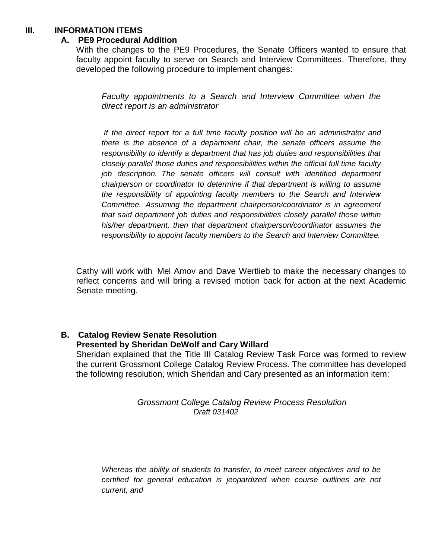#### **III. INFORMATION ITEMS**

#### **A. PE9 Procedural Addition**

With the changes to the PE9 Procedures, the Senate Officers wanted to ensure that faculty appoint faculty to serve on Search and Interview Committees. Therefore, they developed the following procedure to implement changes:

*Faculty appointments to a Search and Interview Committee when the direct report is an administrator*

*If the direct report for a full time faculty position will be an administrator and there is the absence of a department chair, the senate officers assume the responsibility to identify a department that has job duties and responsibilities that closely parallel those duties and responsibilities within the official full time faculty job description. The senate officers will consult with identified department chairperson or coordinator to determine if that department is willing to assume the responsibility of appointing faculty members to the Search and Interview Committee. Assuming the department chairperson/coordinator is in agreement that said department job duties and responsibilities closely parallel those within his/her department, then that department chairperson/coordinator assumes the responsibility to appoint faculty members to the Search and Interview Committee.*

Cathy will work with Mel Amov and Dave Wertlieb to make the necessary changes to reflect concerns and will bring a revised motion back for action at the next Academic Senate meeting.

#### **B. Catalog Review Senate Resolution Presented by Sheridan DeWolf and Cary Willard**

Sheridan explained that the Title III Catalog Review Task Force was formed to review the current Grossmont College Catalog Review Process. The committee has developed the following resolution, which Sheridan and Cary presented as an information item:

#### *Grossmont College Catalog Review Process Resolution Draft 031402*

*Whereas the ability of students to transfer, to meet career objectives and to be certified for general education is jeopardized when course outlines are not current, and*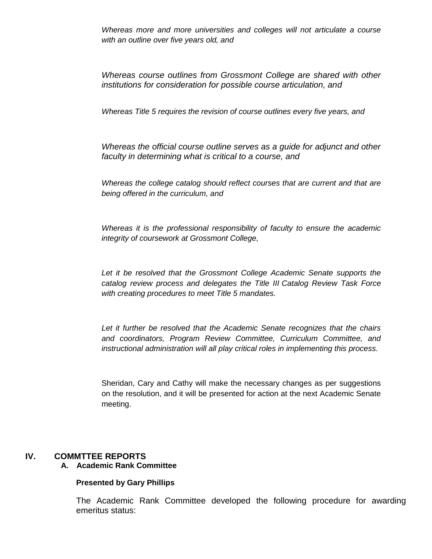*Whereas more and more universities and colleges will not articulate a course with an outline over five years old, and*

*Whereas course outlines from Grossmont College are shared with other institutions for consideration for possible course articulation, and*

*Whereas Title 5 requires the revision of course outlines every five years, and*

*Whereas the official course outline serves as a guide for adjunct and other faculty in determining what is critical to a course, and*

*Whereas the college catalog should reflect courses that are current and that are being offered in the curriculum, and*

*Whereas it is the professional responsibility of faculty to ensure the academic integrity of coursework at Grossmont College,*

Let it be resolved that the Grossmont College Academic Senate supports the *catalog review process and delegates the Title III Catalog Review Task Force with creating procedures to meet Title 5 mandates.*

*Let it further be resolved that the Academic Senate recognizes that the chairs and coordinators, Program Review Committee, Curriculum Committee, and instructional administration will all play critical roles in implementing this process.*

Sheridan, Cary and Cathy will make the necessary changes as per suggestions on the resolution, and it will be presented for action at the next Academic Senate meeting.

# **IV. COMMTTEE REPORTS**

#### **A. Academic Rank Committee**

#### **Presented by Gary Phillips**

The Academic Rank Committee developed the following procedure for awarding emeritus status: